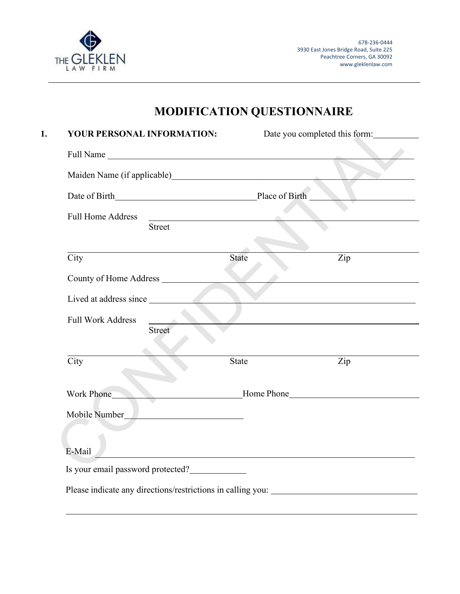

## **MODIFICATION QUESTIONNAIRE**

| YOUR PERSONAL INFORMATION:                              |                                                     |              | Date you completed this form:                                                                                                                                                                                                 |
|---------------------------------------------------------|-----------------------------------------------------|--------------|-------------------------------------------------------------------------------------------------------------------------------------------------------------------------------------------------------------------------------|
| Full Name                                               |                                                     |              |                                                                                                                                                                                                                               |
| Maiden Name (if applicable) Maiden Name (if applicable) |                                                     |              |                                                                                                                                                                                                                               |
|                                                         |                                                     |              |                                                                                                                                                                                                                               |
| <b>Full Home Address</b>                                | <u> 1989 - Andrea Station, amerikansk politik (</u> |              |                                                                                                                                                                                                                               |
|                                                         | <b>Street</b>                                       |              |                                                                                                                                                                                                                               |
| City                                                    |                                                     | <b>State</b> | Zip                                                                                                                                                                                                                           |
|                                                         |                                                     |              |                                                                                                                                                                                                                               |
| Lived at address since                                  |                                                     |              |                                                                                                                                                                                                                               |
| <b>Full Work Address</b>                                |                                                     |              |                                                                                                                                                                                                                               |
|                                                         | Street                                              |              |                                                                                                                                                                                                                               |
| City                                                    |                                                     | <b>State</b> | Zip                                                                                                                                                                                                                           |
| Work Phone                                              |                                                     |              | Home Phone Manuscripture and the Manuscripture of the Manuscripture of the Manuscripture of the Manuscripture of the Manuscripture of the Manuscripture of the Manuscripture of the Manuscripture of the Manuscripture of the |
| Mobile Number                                           |                                                     |              |                                                                                                                                                                                                                               |
|                                                         |                                                     |              |                                                                                                                                                                                                                               |
| E-Mail                                                  |                                                     |              |                                                                                                                                                                                                                               |
| Is your email password protected?                       |                                                     |              |                                                                                                                                                                                                                               |
|                                                         |                                                     |              | Please indicate any directions/restrictions in calling you: ____________________                                                                                                                                              |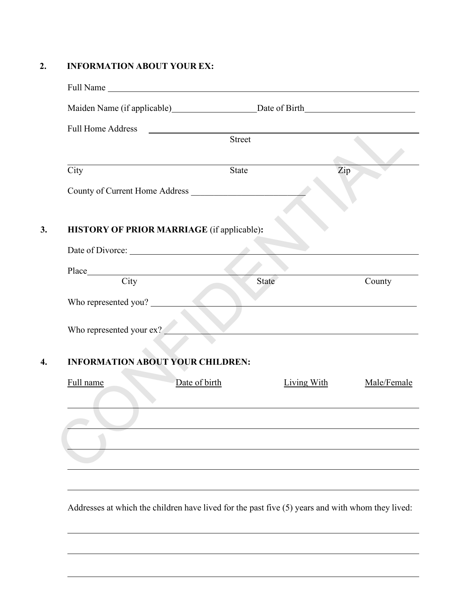## **2. INFORMATION ABOUT YOUR EX:**

| <b>Full Home Address</b>                   |        |                            |
|--------------------------------------------|--------|----------------------------|
|                                            | Street |                            |
|                                            |        |                            |
| City                                       | State  | Zip                        |
| County of Current Home Address             |        |                            |
|                                            |        |                            |
| HISTORY OF PRIOR MARRIAGE (if applicable): |        |                            |
|                                            |        |                            |
|                                            |        |                            |
|                                            | State  | County                     |
|                                            |        |                            |
| Who represented you?                       |        |                            |
| Who represented your ex?                   |        |                            |
|                                            |        |                            |
| <b>INFORMATION ABOUT YOUR CHILDREN:</b>    |        |                            |
| Full name<br>Date of birth                 |        | Living With<br>Male/Female |
|                                            |        |                            |
|                                            |        |                            |
|                                            |        |                            |
|                                            |        |                            |
|                                            |        |                            |
|                                            |        |                            |
|                                            |        |                            |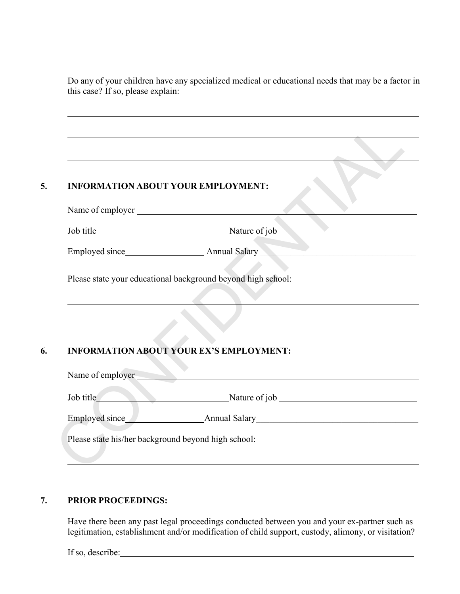Do any of your children have any specialized medical or educational needs that may be a factor in this case? If so, please explain:

|                                                              | <b>INFORMATION ABOUT YOUR EMPLOYMENT:</b>                 |
|--------------------------------------------------------------|-----------------------------------------------------------|
|                                                              |                                                           |
|                                                              |                                                           |
|                                                              |                                                           |
| Please state your educational background beyond high school: |                                                           |
|                                                              |                                                           |
|                                                              | <b>INFORMATION ABOUT YOUR EX'S EMPLOYMENT:</b>            |
|                                                              | Name of employer<br>Job title Nature of job Nature of job |
|                                                              | Employed since Ammual Salary Annual Salary                |

## **7. PRIOR PROCEEDINGS:**

Have there been any past legal proceedings conducted between you and your ex-partner such as legitimation, establishment and/or modification of child support, custody, alimony, or visitation?

If so, describe: